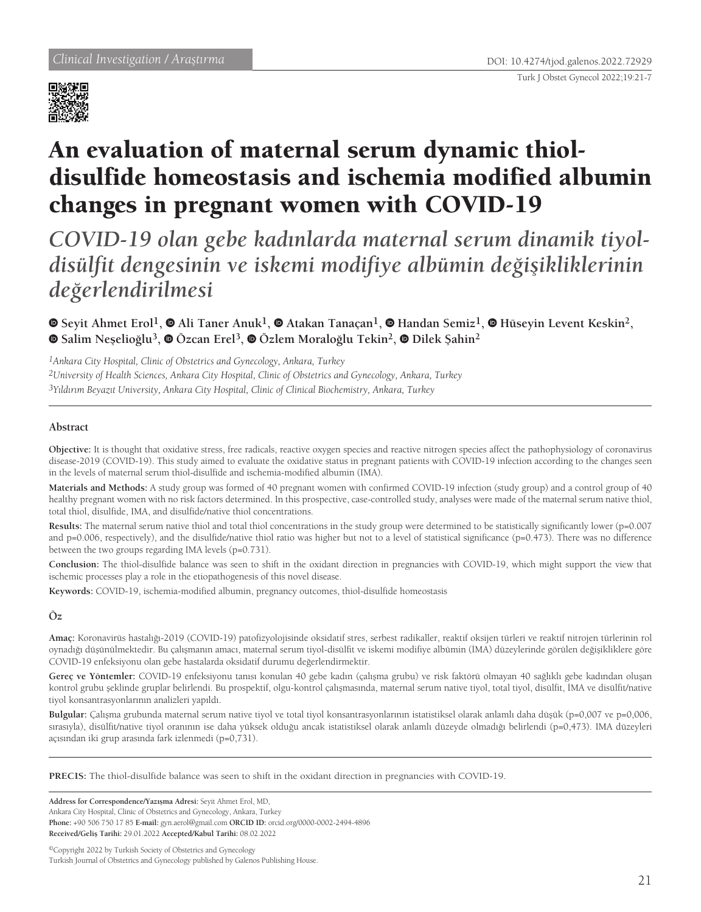

# An evaluation of maternal serum dynamic thioldisulfide homeostasis and ischemia modified albumin changes in pregnant women with COVID-19

*COVID-19 olan gebe kadınlarda maternal serum dinamik tiyoldisülfit dengesinin ve iskemi modifiye albümin değişikliklerinin değerlendirilmesi*

**Seyit Ahmet Erol1,Ali Taner Anuk1,Atakan Tanaçan1,Handan Semiz1,Hüseyin Levent Keskin2, Salim Neşelioğlu3, Özcan Erel3,Özlem Moraloğlu Tekin2, Dilek Şahin<sup>2</sup>**

*1Ankara City Hospital, Clinic of Obstetrics and Gynecology, Ankara, Turkey 2University of Health Sciences, Ankara City Hospital, Clinic of Obstetrics and Gynecology, Ankara, Turkey 3Yıldırım Beyazıt University, Ankara City Hospital, Clinic of Clinical Biochemistry, Ankara, Turkey*

# **Abstract**

**Objective:** It is thought that oxidative stress, free radicals, reactive oxygen species and reactive nitrogen species affect the pathophysiology of coronavirus disease-2019 (COVID-19). This study aimed to evaluate the oxidative status in pregnant patients with COVID-19 infection according to the changes seen in the levels of maternal serum thiol-disulfide and ischemia-modified albumin (IMA).

**Materials and Methods:** A study group was formed of 40 pregnant women with confirmed COVID-19 infection (study group) and a control group of 40 healthy pregnant women with no risk factors determined. In this prospective, case-controlled study, analyses were made of the maternal serum native thiol, total thiol, disulfide, IMA, and disulfide/native thiol concentrations.

Results: The maternal serum native thiol and total thiol concentrations in the study group were determined to be statistically significantly lower (p=0.007 and  $p=0.006$ , respectively), and the disulfide/native thiol ratio was higher but not to a level of statistical significance ( $p=0.473$ ). There was no difference between the two groups regarding IMA levels (p=0.731).

**Conclusion:** The thiol-disulfide balance was seen to shift in the oxidant direction in pregnancies with COVID-19, which might support the view that ischemic processes play a role in the etiopathogenesis of this novel disease.

**Keywords:** COVID-19, ischemia-modified albumin, pregnancy outcomes, thiol-disulfide homeostasis

## **Öz**

**Amaç:** Koronavirüs hastalığı-2019 (COVID-19) patofizyolojisinde oksidatif stres, serbest radikaller, reaktif oksijen türleri ve reaktif nitrojen türlerinin rol oynadığı düşünülmektedir. Bu çalışmanın amacı, maternal serum tiyol-disülfit ve iskemi modifiye albümin (İMA) düzeylerinde görülen değişikliklere göre COVID-19 enfeksiyonu olan gebe hastalarda oksidatif durumu değerlendirmektir.

**Gereç ve Yöntemler:** COVID-19 enfeksiyonu tanısı konulan 40 gebe kadın (çalışma grubu) ve risk faktörü olmayan 40 sağlıklı gebe kadından oluşan kontrol grubu şeklinde gruplar belirlendi. Bu prospektif, olgu-kontrol çalışmasında, maternal serum native tiyol, total tiyol, disülfit, İMA ve disülfit/native tiyol konsantrasyonlarının analizleri yapıldı.

**Bulgular:** Çalışma grubunda maternal serum native tiyol ve total tiyol konsantrasyonlarının istatistiksel olarak anlamlı daha düşük (p=0,007 ve p=0,006, sırasıyla), disülfit/native tiyol oranının ise daha yüksek olduğu ancak istatistiksel olarak anlamlı düzeyde olmadığı belirlendi (p=0,473). IMA düzeyleri açısından iki grup arasında fark izlenmedi (p=0,731).

**PRECIS:** The thiol-disulfide balance was seen to shift in the oxidant direction in pregnancies with COVID-19.

**Address for Correspondence/Yazışma Adresi:** Seyit Ahmet Erol, MD, Ankara City Hospital, Clinic of Obstetrics and Gynecology, Ankara, Turkey **Phone:** +90 506 750 17 85 **E-mail:** gyn.aerol@gmail.com **ORCID ID:** orcid.org/0000-0002-2494-4896 **Received/Geliş Tarihi:** 29.01.2022 **Accepted/Kabul Tarihi:** 08.02.2022

©Copyright 2022 by Turkish Society of Obstetrics and Gynecology Turkish Journal of Obstetrics and Gynecology published by Galenos Publishing House.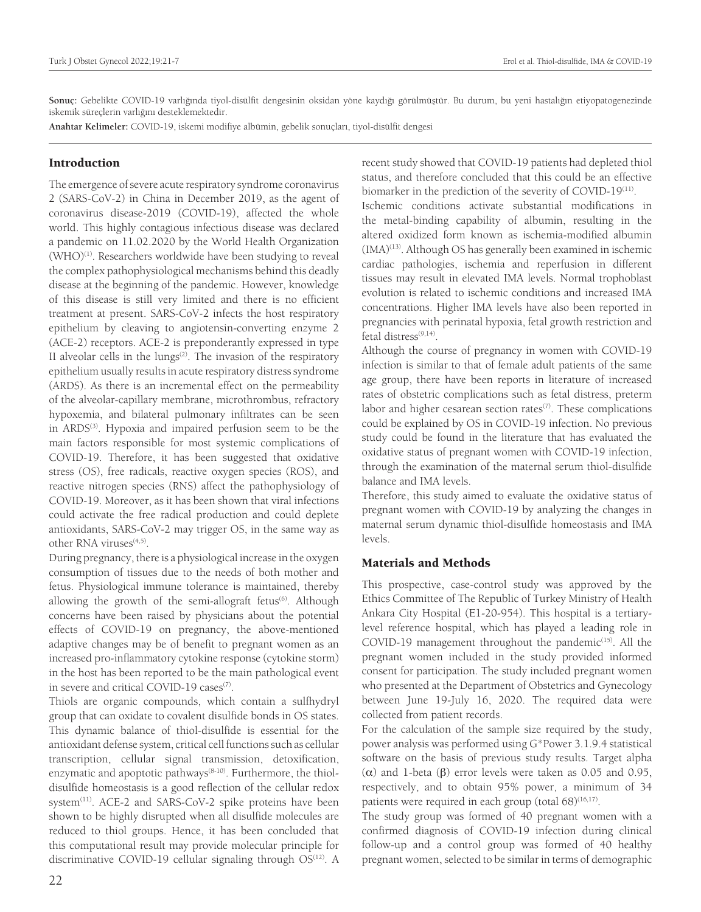**Sonuç:** Gebelikte COVID-19 varlığında tiyol-disülfit dengesinin oksidan yöne kaydığı görülmüştür. Bu durum, bu yeni hastalığın etiyopatogenezinde iskemik süreçlerin varlığını desteklemektedir.

**Anahtar Kelimeler:** COVID-19, iskemi modifiye albümin, gebelik sonuçları, tiyol-disülfit dengesi

## Introduction

The emergence of severe acute respiratory syndrome coronavirus 2 (SARS-CoV-2) in China in December 2019, as the agent of coronavirus disease-2019 (COVID-19), affected the whole world. This highly contagious infectious disease was declared a pandemic on 11.02.2020 by the World Health Organization (WHO)<sup>(1)</sup>. Researchers worldwide have been studying to reveal the complex pathophysiological mechanisms behind this deadly disease at the beginning of the pandemic. However, knowledge of this disease is still very limited and there is no efficient treatment at present. SARS-CoV-2 infects the host respiratory epithelium by cleaving to angiotensin-converting enzyme 2 (ACE-2) receptors. ACE-2 is preponderantly expressed in type II alveolar cells in the lungs $(2)$ . The invasion of the respiratory epithelium usually results in acute respiratory distress syndrome (ARDS). As there is an incremental effect on the permeability of the alveolar-capillary membrane, microthrombus, refractory hypoxemia, and bilateral pulmonary infiltrates can be seen in ARDS<sup>(3)</sup>. Hypoxia and impaired perfusion seem to be the main factors responsible for most systemic complications of COVID-19. Therefore, it has been suggested that oxidative stress (OS), free radicals, reactive oxygen species (ROS), and reactive nitrogen species (RNS) affect the pathophysiology of COVID-19. Moreover, as it has been shown that viral infections could activate the free radical production and could deplete antioxidants, SARS-CoV-2 may trigger OS, in the same way as other RNA viruses<sup>(4,5)</sup>.

During pregnancy, there is a physiological increase in the oxygen consumption of tissues due to the needs of both mother and fetus. Physiological immune tolerance is maintained, thereby allowing the growth of the semi-allograft fetus<sup>(6)</sup>. Although concerns have been raised by physicians about the potential effects of COVID-19 on pregnancy, the above-mentioned adaptive changes may be of benefit to pregnant women as an increased pro-inflammatory cytokine response (cytokine storm) in the host has been reported to be the main pathological event in severe and critical COVID-19 cases<sup>(7)</sup>.

Thiols are organic compounds, which contain a sulfhydryl group that can oxidate to covalent disulfide bonds in OS states. This dynamic balance of thiol-disulfide is essential for the antioxidant defense system, critical cell functions such as cellular transcription, cellular signal transmission, detoxification, enzymatic and apoptotic pathways<sup>(8-10)</sup>. Furthermore, the thioldisulfide homeostasis is a good reflection of the cellular redox system<sup>(11)</sup>. ACE-2 and SARS-CoV-2 spike proteins have been shown to be highly disrupted when all disulfide molecules are reduced to thiol groups. Hence, it has been concluded that this computational result may provide molecular principle for discriminative COVID-19 cellular signaling through OS<sup>(12)</sup>. A

recent study showed that COVID-19 patients had depleted thiol status, and therefore concluded that this could be an effective biomarker in the prediction of the severity of COVID-19<sup>(11)</sup>.

Ischemic conditions activate substantial modifications in the metal-binding capability of albumin, resulting in the altered oxidized form known as ischemia-modified albumin (IMA)<sup>(13)</sup>. Although OS has generally been examined in ischemic cardiac pathologies, ischemia and reperfusion in different tissues may result in elevated IMA levels. Normal trophoblast evolution is related to ischemic conditions and increased IMA concentrations. Higher IMA levels have also been reported in pregnancies with perinatal hypoxia, fetal growth restriction and fetal distress<sup>(9,14)</sup>.

Although the course of pregnancy in women with COVID-19 infection is similar to that of female adult patients of the same age group, there have been reports in literature of increased rates of obstetric complications such as fetal distress, preterm labor and higher cesarean section rates $(7)$ . These complications could be explained by OS in COVID-19 infection. No previous study could be found in the literature that has evaluated the oxidative status of pregnant women with COVID-19 infection, through the examination of the maternal serum thiol-disulfide balance and IMA levels.

Therefore, this study aimed to evaluate the oxidative status of pregnant women with COVID-19 by analyzing the changes in maternal serum dynamic thiol-disulfide homeostasis and IMA levels.

# Materials and Methods

This prospective, case-control study was approved by the Ethics Committee of The Republic of Turkey Ministry of Health Ankara City Hospital (E1-20-954). This hospital is a tertiarylevel reference hospital, which has played a leading role in COVID-19 management throughout the pandemic<sup>(15)</sup>. All the pregnant women included in the study provided informed consent for participation. The study included pregnant women who presented at the Department of Obstetrics and Gynecology between June 19-July 16, 2020. The required data were collected from patient records.

For the calculation of the sample size required by the study, power analysis was performed using G\*Power 3.1.9.4 statistical software on the basis of previous study results. Target alpha (α) and 1-beta (β) error levels were taken as 0.05 and 0.95, respectively, and to obtain 95% power, a minimum of 34 patients were required in each group (total  $68)^{(16,17)}$ .

The study group was formed of 40 pregnant women with a confirmed diagnosis of COVID-19 infection during clinical follow-up and a control group was formed of 40 healthy pregnant women, selected to be similar in terms of demographic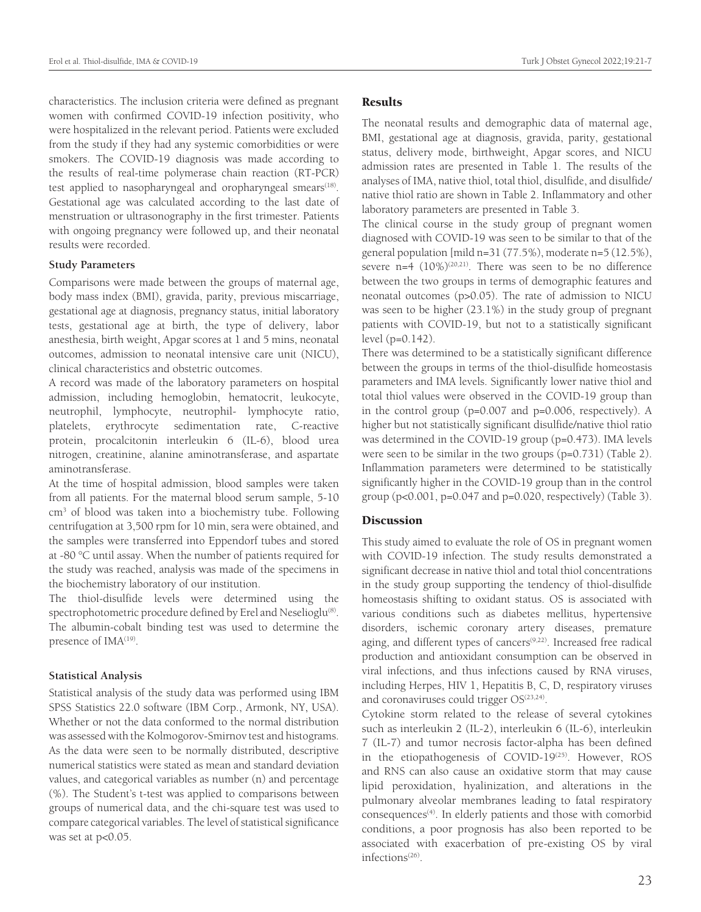characteristics. The inclusion criteria were defined as pregnant women with confirmed COVID-19 infection positivity, who were hospitalized in the relevant period. Patients were excluded from the study if they had any systemic comorbidities or were smokers. The COVID-19 diagnosis was made according to the results of real-time polymerase chain reaction (RT-PCR) test applied to nasopharyngeal and oropharyngeal smears<sup>(18)</sup>. Gestational age was calculated according to the last date of menstruation or ultrasonography in the first trimester. Patients with ongoing pregnancy were followed up, and their neonatal results were recorded.

## **Study Parameters**

Comparisons were made between the groups of maternal age, body mass index (BMI), gravida, parity, previous miscarriage, gestational age at diagnosis, pregnancy status, initial laboratory tests, gestational age at birth, the type of delivery, labor anesthesia, birth weight, Apgar scores at 1 and 5 mins, neonatal outcomes, admission to neonatal intensive care unit (NICU), clinical characteristics and obstetric outcomes.

A record was made of the laboratory parameters on hospital admission, including hemoglobin, hematocrit, leukocyte, neutrophil, lymphocyte, neutrophil- lymphocyte ratio, platelets, erythrocyte sedimentation rate, C-reactive protein, procalcitonin interleukin 6 (IL-6), blood urea nitrogen, creatinine, alanine aminotransferase, and aspartate aminotransferase.

At the time of hospital admission, blood samples were taken from all patients. For the maternal blood serum sample, 5-10 cm3 of blood was taken into a biochemistry tube. Following centrifugation at 3,500 rpm for 10 min, sera were obtained, and the samples were transferred into Eppendorf tubes and stored at -80 °C until assay. When the number of patients required for the study was reached, analysis was made of the specimens in the biochemistry laboratory of our institution.

The thiol-disulfide levels were determined using the spectrophotometric procedure defined by Erel and Neselioglu<sup>(8)</sup>. The albumin-cobalt binding test was used to determine the presence of IMA<sup>(19)</sup>.

## **Statistical Analysis**

Statistical analysis of the study data was performed using IBM SPSS Statistics 22.0 software (IBM Corp., Armonk, NY, USA). Whether or not the data conformed to the normal distribution was assessed with the Kolmogorov-Smirnov test and histograms. As the data were seen to be normally distributed, descriptive numerical statistics were stated as mean and standard deviation values, and categorical variables as number (n) and percentage (%). The Student's t-test was applied to comparisons between groups of numerical data, and the chi-square test was used to compare categorical variables. The level of statistical significance was set at p<0.05.

## **Results**

The neonatal results and demographic data of maternal age, BMI, gestational age at diagnosis, gravida, parity, gestational status, delivery mode, birthweight, Apgar scores, and NICU admission rates are presented in Table 1. The results of the analyses of IMA, native thiol, total thiol, disulfide, and disulfide/ native thiol ratio are shown in Table 2. Inflammatory and other laboratory parameters are presented in Table 3.

The clinical course in the study group of pregnant women diagnosed with COVID-19 was seen to be similar to that of the general population [mild n= $31(77.5\%)$ , moderate n= $5(12.5\%)$ , severe  $n=4$   $(10\%)^{(20,21)}$ . There was seen to be no difference between the two groups in terms of demographic features and neonatal outcomes (p>0.05). The rate of admission to NICU was seen to be higher (23.1%) in the study group of pregnant patients with COVID-19, but not to a statistically significant level (p=0.142).

There was determined to be a statistically significant difference between the groups in terms of the thiol-disulfide homeostasis parameters and IMA levels. Significantly lower native thiol and total thiol values were observed in the COVID-19 group than in the control group (p=0.007 and p=0.006, respectively). A higher but not statistically significant disulfide/native thiol ratio was determined in the COVID-19 group (p=0.473). IMA levels were seen to be similar in the two groups (p=0.731) (Table 2). Inflammation parameters were determined to be statistically significantly higher in the COVID-19 group than in the control group ( $p<0.001$ ,  $p=0.047$  and  $p=0.020$ , respectively) (Table 3).

## **Discussion**

This study aimed to evaluate the role of OS in pregnant women with COVID-19 infection. The study results demonstrated a significant decrease in native thiol and total thiol concentrations in the study group supporting the tendency of thiol-disulfide homeostasis shifting to oxidant status. OS is associated with various conditions such as diabetes mellitus, hypertensive disorders, ischemic coronary artery diseases, premature aging, and different types of cancers<sup>(9,22)</sup>. Increased free radical production and antioxidant consumption can be observed in viral infections, and thus infections caused by RNA viruses, including Herpes, HIV 1, Hepatitis B, C, D, respiratory viruses and coronaviruses could trigger  $OS^{(23,24)}$ .

Cytokine storm related to the release of several cytokines such as interleukin 2 (IL-2), interleukin 6 (IL-6), interleukin 7 (IL-7) and tumor necrosis factor-alpha has been defined in the etiopathogenesis of COVID-19<sup>(25)</sup>. However, ROS and RNS can also cause an oxidative storm that may cause lipid peroxidation, hyalinization, and alterations in the pulmonary alveolar membranes leading to fatal respiratory consequences<sup>(4)</sup>. In elderly patients and those with comorbid conditions, a poor prognosis has also been reported to be associated with exacerbation of pre-existing OS by viral infections(26).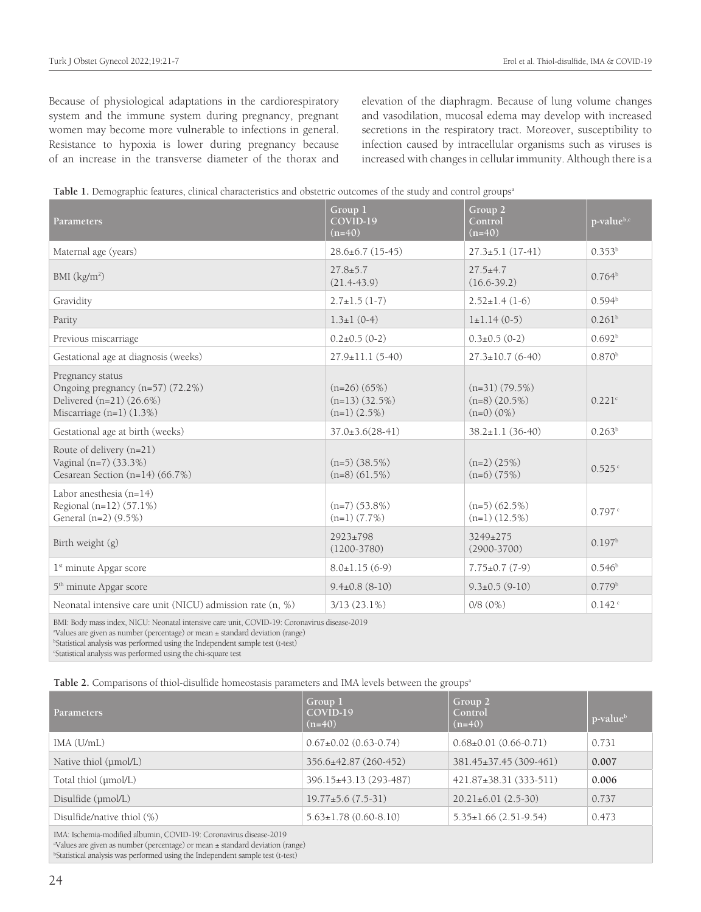Because of physiological adaptations in the cardiorespiratory system and the immune system during pregnancy, pregnant women may become more vulnerable to infections in general. Resistance to hypoxia is lower during pregnancy because of an increase in the transverse diameter of the thorax and elevation of the diaphragm. Because of lung volume changes and vasodilation, mucosal edema may develop with increased secretions in the respiratory tract. Moreover, susceptibility to infection caused by intracellular organisms such as viruses is increased with changes in cellular immunity. Although there is a

|  |  | Table 1. Demographic features, clinical characteristics and obstetric outcomes of the study and control groups <sup>a</sup> |  |
|--|--|-----------------------------------------------------------------------------------------------------------------------------|--|
|--|--|-----------------------------------------------------------------------------------------------------------------------------|--|

| Parameters                                                                                                                                                                                                                                                                              | Group 1<br>$COV$ ID-19<br>$(n=40)$                      | Group 2<br>Control<br>$(n=40)$                        | p-valueb,c         |  |
|-----------------------------------------------------------------------------------------------------------------------------------------------------------------------------------------------------------------------------------------------------------------------------------------|---------------------------------------------------------|-------------------------------------------------------|--------------------|--|
| Maternal age (years)                                                                                                                                                                                                                                                                    | $28.6 \pm 6.7$ (15-45)                                  | $27.3 \pm 5.1(17 - 41)$                               | $0.353^{b}$        |  |
| BMI $(kg/m2)$                                                                                                                                                                                                                                                                           | $27.8 \pm 5.7$<br>$(21.4-43.9)$                         | $27.5+4.7$<br>$(16.6 - 39.2)$                         | 0.764 <sup>b</sup> |  |
| Gravidity                                                                                                                                                                                                                                                                               | $2.7 \pm 1.5$ (1-7)                                     | $2.52 \pm 1.4(1-6)$                                   | 0.594 <sup>b</sup> |  |
| Parity                                                                                                                                                                                                                                                                                  | $1.3 \pm 1$ (0-4)                                       | $l \pm 1.14(0-5)$                                     | $0.261^{b}$        |  |
| Previous miscarriage                                                                                                                                                                                                                                                                    | $0.2\pm0.5$ (0-2)                                       | $0.3\pm0.5(0-2)$                                      | 0.692 <sup>b</sup> |  |
| Gestational age at diagnosis (weeks)                                                                                                                                                                                                                                                    | $27.9 \pm 11.1(5-40)$                                   | $27.3 \pm 10.7$ (6-40)                                | 0.870 <sup>b</sup> |  |
| Pregnancy status<br>Ongoing pregnancy (n=57) (72.2%)<br>Delivered (n=21) (26.6%)<br>Miscarriage $(n=1)$ $(1.3%)$                                                                                                                                                                        | $(n=26)$ (65%)<br>$(n=13)$ (32.5%)<br>$(n=1)$ $(2.5\%)$ | $(n=31) (79.5%)$<br>$(n=8)$ (20.5%)<br>$(n=0)$ $(0%)$ | 0.221c             |  |
| Gestational age at birth (weeks)                                                                                                                                                                                                                                                        | $37.0 \pm 3.6(28 - 41)$                                 | $38.2 \pm 1.1$ (36-40)                                | $0.263^{\rm b}$    |  |
| Route of delivery (n=21)<br>Vaginal (n=7) (33.3%)<br>Cesarean Section (n=14) (66.7%)                                                                                                                                                                                                    | $(n=5)$ (38.5%)<br>$(n=8)$ (61.5%)                      | $(n=2)$ (25%)<br>$(n=6)$ (75%)                        | 0.525c             |  |
| Labor anesthesia $(n=14)$<br>Regional (n=12) (57.1%)<br>General (n=2) (9.5%)                                                                                                                                                                                                            | $(n=7)$ (53.8%)<br>$(n=1)$ $(7.7%)$                     | $(n=5)$ (62.5%)<br>$(n=1)$ $(12.5\%)$                 | 0.797c             |  |
| Birth weight (g)                                                                                                                                                                                                                                                                        | 2923±798<br>$(1200 - 3780)$                             | 3249±275<br>$(2900 - 3700)$                           | 0.197 <sup>b</sup> |  |
| 1 <sup>st</sup> minute Apgar score                                                                                                                                                                                                                                                      | $8.0 \pm 1.15(6-9)$                                     | $7.75 \pm 0.7$ (7-9)                                  | 0.546 <sup>b</sup> |  |
| 5 <sup>th</sup> minute Apgar score                                                                                                                                                                                                                                                      | $9.4\pm0.8$ (8-10)                                      | $9.3 \pm 0.5$ (9-10)                                  | 0.779 <sup>b</sup> |  |
| Neonatal intensive care unit (NICU) admission rate (n, %)                                                                                                                                                                                                                               | $3/13(23.1\%)$                                          | 0/8(0%)                                               | 0.142c             |  |
| BMI: Body mass index, NICU: Neonatal intensive care unit, COVID-19: Coronavirus disease-2019<br><sup>a</sup> Values are given as number (percentage) or mean ± standard deviation (range)<br><sup>b</sup> Statistical analysis was performed using the Independent sample test (t-test) |                                                         |                                                       |                    |  |

c Statistical analysis was performed using the chi-square test

Table 2. Comparisons of thiol-disulfide homeostasis parameters and IMA levels between the groups<sup>a</sup>

| <b>Parameters</b>                                                  | Group 1<br>COVID-19<br>$(n=40)$ | Group 2<br>Control<br>$(n=40)$  | p-value <sup>b</sup> |
|--------------------------------------------------------------------|---------------------------------|---------------------------------|----------------------|
| IMA(U/mL)                                                          | $0.67\pm0.02$ (0.63-0.74)       | $0.68 \pm 0.01$ $(0.66 - 0.71)$ | 0.731                |
| Native thiol (µmol/L)                                              | 356.6±42.87 (260-452)           | 381.45±37.45 (309-461)          | 0.007                |
| Total thiol (µmol/L)                                               | 396.15±43.13 (293-487)          | 421.87±38.31 (333-511)          | 0.006                |
| Disulfide (µmol/L)                                                 | $19.77 \pm 5.6$ (7.5-31)        | $20.21 \pm 6.01$ (2.5-30)       | 0.737                |
| Disulfide/native thiol $(\%)$                                      | $5.63 \pm 1.78$ (0.60-8.10)     | $5.35 \pm 1.66$ (2.51-9.54)     | 0.473                |
| IMA: Ischemia-modified albumin, COVID-19: Coronavirus disease-2019 |                                 |                                 |                      |

a Values are given as number (percentage) or mean ± standard deviation (range)

b Statistical analysis was performed using the Independent sample test (t-test)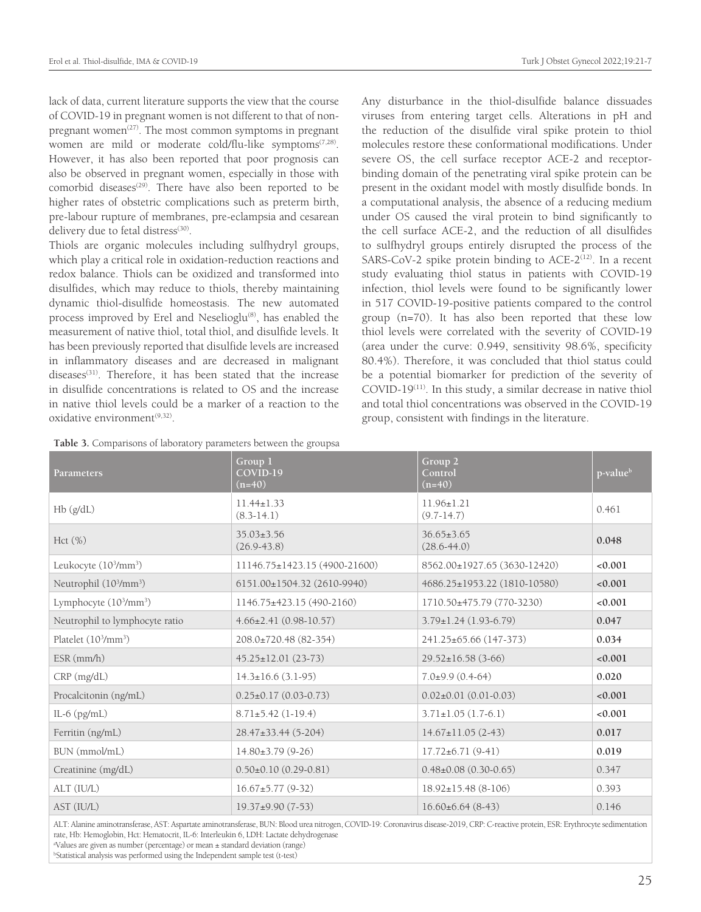lack of data, current literature supports the view that the course of COVID-19 in pregnant women is not different to that of nonpregnant women<sup> $(27)$ </sup>. The most common symptoms in pregnant women are mild or moderate cold/flu-like symptoms<sup>(7,28)</sup>. However, it has also been reported that poor prognosis can also be observed in pregnant women, especially in those with comorbid diseases<sup>(29)</sup>. There have also been reported to be higher rates of obstetric complications such as preterm birth, pre-labour rupture of membranes, pre-eclampsia and cesarean delivery due to fetal distress<sup>(30)</sup>.

Thiols are organic molecules including sulfhydryl groups, which play a critical role in oxidation-reduction reactions and redox balance. Thiols can be oxidized and transformed into disulfides, which may reduce to thiols, thereby maintaining dynamic thiol-disulfide homeostasis. The new automated process improved by Erel and Neselioglu<sup>(8)</sup>, has enabled the measurement of native thiol, total thiol, and disulfide levels. It has been previously reported that disulfide levels are increased in inflammatory diseases and are decreased in malignant diseases<sup>(31)</sup>. Therefore, it has been stated that the increase in disulfide concentrations is related to OS and the increase in native thiol levels could be a marker of a reaction to the oxidative environment<sup>(9,32)</sup>.

**Table 3.** Comparisons of laboratory parameters between the groupsa

Any disturbance in the thiol-disulfide balance dissuades viruses from entering target cells. Alterations in pH and the reduction of the disulfide viral spike protein to thiol molecules restore these conformational modifications. Under severe OS, the cell surface receptor ACE-2 and receptorbinding domain of the penetrating viral spike protein can be present in the oxidant model with mostly disulfide bonds. In a computational analysis, the absence of a reducing medium under OS caused the viral protein to bind significantly to the cell surface ACE-2, and the reduction of all disulfides to sulfhydryl groups entirely disrupted the process of the SARS-CoV-2 spike protein binding to  $ACE-2^{(12)}$ . In a recent study evaluating thiol status in patients with COVID-19 infection, thiol levels were found to be significantly lower in 517 COVID-19-positive patients compared to the control group (n=70). It has also been reported that these low thiol levels were correlated with the severity of COVID-19 (area under the curve: 0.949, sensitivity 98.6%, specificity 80.4%). Therefore, it was concluded that thiol status could be a potential biomarker for prediction of the severity of  $COVID-19<sup>(11)</sup>$ . In this study, a similar decrease in native thiol and total thiol concentrations was observed in the COVID-19 group, consistent with findings in the literature.

| <b>Parameters</b>                              | Group 1<br>COVID-19<br>$(n=40)$     | Group <sub>2</sub><br>Control<br>$(n=40)$ | p-value <sup>b</sup> |
|------------------------------------------------|-------------------------------------|-------------------------------------------|----------------------|
| Hb (g/dL)                                      | $11.44 \pm 1.33$<br>$(8.3-14.1)$    | $11.96 \pm 1.21$<br>$(9.7 - 14.7)$        | 0.461                |
| Hct (%)                                        | $35.03 \pm 3.56$<br>$(26.9 - 43.8)$ | $36.65 \pm 3.65$<br>$(28.6 - 44.0)$       | 0.048                |
| Leukocyte (10 <sup>3</sup> /mm <sup>3</sup> )  | 11146.75±1423.15 (4900-21600)       | 8562.00±1927.65 (3630-12420)              | < 0.001              |
| Neutrophil (10 <sup>3</sup> /mm <sup>3</sup> ) | 6151.00±1504.32 (2610-9940)         | 4686.25±1953.22 (1810-10580)              | < 0.001              |
| Lymphocyte (10 <sup>3</sup> /mm <sup>3</sup> ) | 1146.75±423.15 (490-2160)           | 1710.50±475.79 (770-3230)                 | < 0.001              |
| Neutrophil to lymphocyte ratio                 | $4.66 \pm 2.41 (0.98 - 10.57)$      | $3.79 \pm 1.24$ (1.93-6.79)               | 0.047                |
| Platelet (10 <sup>3</sup> /mm <sup>3</sup> )   | 208.0±720.48 (82-354)               | 241.25±65.66 (147-373)                    | 0.034                |
| $ESR$ (mm/h)                                   | $45.25 \pm 12.01$ (23-73)           | $29.52 \pm 16.58$ (3-66)                  | < 0.001              |
| CRP (mg/dL)                                    | $14.3 \pm 16.6$ (3.1-95)            | $7.0\pm9.9(0.4-64)$                       | 0.020                |
| Procalcitonin (ng/mL)                          | $0.25 \pm 0.17$ (0.03-0.73)         | $0.02\pm0.01(0.01-0.03)$                  | < 0.001              |
| IL-6 $(pg/mL)$                                 | $8.71 \pm 5.42$ (1-19.4)            | $3.71 \pm 1.05$ (1.7-6.1)                 | < 0.001              |
| Ferritin (ng/mL)                               | 28.47±33.44 (5-204)                 | $14.67 \pm 11.05$ (2-43)                  | 0.017                |
| BUN (mmol/mL)                                  | $14.80\pm3.79(9-26)$                | $17.72 \pm 6.71(9 - 41)$                  | 0.019                |
| Creatinine (mg/dL)                             | $0.50\pm0.10$ $(0.29-0.81)$         | $0.48\pm0.08$ (0.30-0.65)                 | 0.347                |
| ALT (IU/L)                                     | $16.67 \pm 5.77$ (9-32)             | $18.92 \pm 15.48$ (8-106)                 | 0.393                |
| AST (IU/L)                                     | $19.37 \pm 9.90(7 - 53)$            | $16.60 \pm 6.64$ (8-43)                   | 0.146                |

ALT: Alanine aminotransferase, AST: Aspartate aminotransferase, BUN: Blood urea nitrogen, COVID-19: Coronavirus disease-2019, CRP: C-reactive protein, ESR: Erythrocyte sedimentation rate, Hb: Hemoglobin, Hct: Hematocrit, IL-6: Interleukin 6, LDH: Lactate dehydrogenase

a Values are given as number (percentage) or mean ± standard deviation (range)

b Statistical analysis was performed using the Independent sample test (t-test)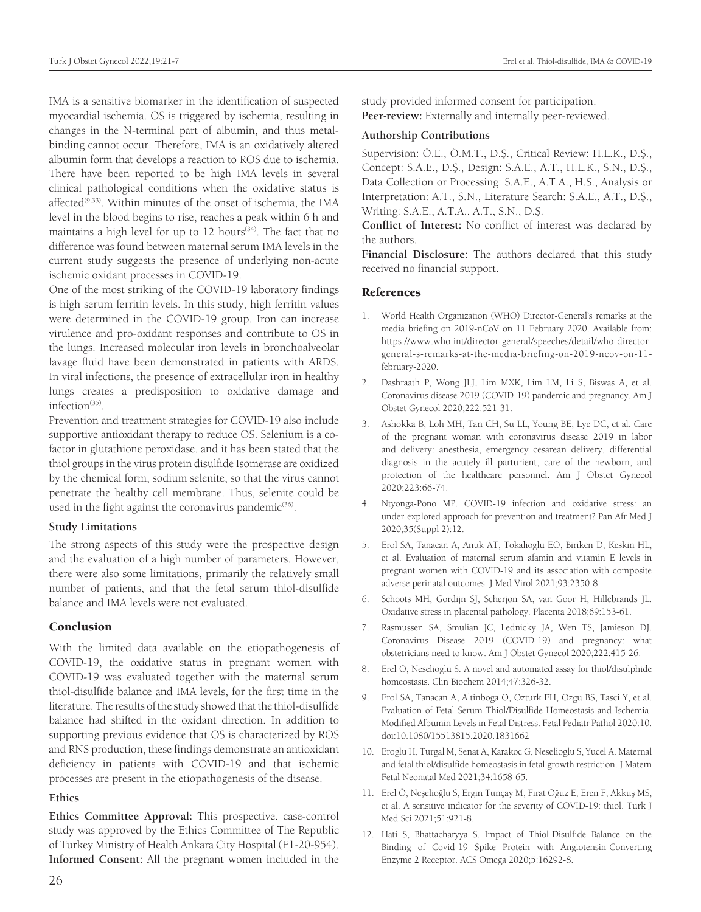IMA is a sensitive biomarker in the identification of suspected myocardial ischemia. OS is triggered by ischemia, resulting in changes in the N-terminal part of albumin, and thus metalbinding cannot occur. Therefore, IMA is an oxidatively altered albumin form that develops a reaction to ROS due to ischemia. There have been reported to be high IMA levels in several clinical pathological conditions when the oxidative status is affected<sup>(9,33)</sup>. Within minutes of the onset of ischemia, the IMA level in the blood begins to rise, reaches a peak within 6 h and maintains a high level for up to 12 hours<sup>(34)</sup>. The fact that no difference was found between maternal serum IMA levels in the current study suggests the presence of underlying non-acute ischemic oxidant processes in COVID-19.

One of the most striking of the COVID-19 laboratory findings is high serum ferritin levels. In this study, high ferritin values were determined in the COVID-19 group. Iron can increase virulence and pro-oxidant responses and contribute to OS in the lungs. Increased molecular iron levels in bronchoalveolar lavage fluid have been demonstrated in patients with ARDS. In viral infections, the presence of extracellular iron in healthy lungs creates a predisposition to oxidative damage and infection<sup>(35)</sup>.

Prevention and treatment strategies for COVID-19 also include supportive antioxidant therapy to reduce OS. Selenium is a cofactor in glutathione peroxidase, and it has been stated that the thiol groups in the virus protein disulfide Isomerase are oxidized by the chemical form, sodium selenite, so that the virus cannot penetrate the healthy cell membrane. Thus, selenite could be used in the fight against the coronavirus pandemic $(36)$ .

#### **Study Limitations**

The strong aspects of this study were the prospective design and the evaluation of a high number of parameters. However, there were also some limitations, primarily the relatively small number of patients, and that the fetal serum thiol-disulfide balance and IMA levels were not evaluated.

#### Conclusion

With the limited data available on the etiopathogenesis of COVID-19, the oxidative status in pregnant women with COVID-19 was evaluated together with the maternal serum thiol-disulfide balance and IMA levels, for the first time in the literature. The results of the study showed that the thiol-disulfide balance had shifted in the oxidant direction. In addition to supporting previous evidence that OS is characterized by ROS and RNS production, these findings demonstrate an antioxidant deficiency in patients with COVID-19 and that ischemic processes are present in the etiopathogenesis of the disease.

## **Ethics**

**Ethics Committee Approval:** This prospective, case-control study was approved by the Ethics Committee of The Republic of Turkey Ministry of Health Ankara City Hospital (E1-20-954). **Informed Consent:** All the pregnant women included in the

study provided informed consent for participation. **Peer-review:** Externally and internally peer-reviewed.

#### **Authorship Contributions**

Supervision: Ö.E., Ö.M.T., D.Ş., Critical Review: H.L.K., D.Ş., Concept: S.A.E., D.Ş., Design: S.A.E., A.T., H.L.K., S.N., D.Ş., Data Collection or Processing: S.A.E., A.T.A., H.S., Analysis or Interpretation: A.T., S.N., Literature Search: S.A.E., A.T., D.Ş., Writing: S.A.E., A.T.A., A.T., S.N., D.Ş.

**Conflict of Interest:** No conflict of interest was declared by the authors.

**Financial Disclosure:** The authors declared that this study received no financial support.

## References

- 1. World Health Organization (WHO) Director-General's remarks at the media briefing on 2019-nCoV on 11 February 2020. Available from: https://www.who.int/director-general/speeches/detail/who-directorgeneral-s-remarks-at-the-media-briefing-on-2019-ncov-on-11 february-2020.
- 2. Dashraath P, Wong JLJ, Lim MXK, Lim LM, Li S, Biswas A, et al. Coronavirus disease 2019 (COVID-19) pandemic and pregnancy. Am J Obstet Gynecol 2020;222:521-31.
- 3. Ashokka B, Loh MH, Tan CH, Su LL, Young BE, Lye DC, et al. Care of the pregnant woman with coronavirus disease 2019 in labor and delivery: anesthesia, emergency cesarean delivery, differential diagnosis in the acutely ill parturient, care of the newborn, and protection of the healthcare personnel. Am J Obstet Gynecol 2020;223:66-74.
- 4. Ntyonga-Pono MP. COVID-19 infection and oxidative stress: an under-explored approach for prevention and treatment? Pan Afr Med J 2020;35(Suppl 2):12.
- 5. Erol SA, Tanacan A, Anuk AT, Tokalioglu EO, Biriken D, Keskin HL, et al. Evaluation of maternal serum afamin and vitamin E levels in pregnant women with COVID-19 and its association with composite adverse perinatal outcomes. J Med Virol 2021;93:2350-8.
- 6. Schoots MH, Gordijn SJ, Scherjon SA, van Goor H, Hillebrands JL. Oxidative stress in placental pathology. Placenta 2018;69:153-61.
- 7. Rasmussen SA, Smulian JC, Lednicky JA, Wen TS, Jamieson DJ. Coronavirus Disease 2019 (COVID-19) and pregnancy: what obstetricians need to know. Am J Obstet Gynecol 2020;222:415-26.
- 8. Erel O, Neselioglu S. A novel and automated assay for thiol/disulphide homeostasis. Clin Biochem 2014;47:326-32.
- 9. Erol SA, Tanacan A, Altinboga O, Ozturk FH, Ozgu BS, Tasci Y, et al. Evaluation of Fetal Serum Thiol/Disulfide Homeostasis and Ischemia-Modified Albumin Levels in Fetal Distress. Fetal Pediatr Pathol 2020:10. doi:10.1080/15513815.2020.1831662
- 10. Eroglu H, Turgal M, Senat A, Karakoc G, Neselioglu S, Yucel A. Maternal and fetal thiol/disulfide homeostasis in fetal growth restriction. J Matern Fetal Neonatal Med 2021;34:1658-65.
- 11. Erel Ö, Neşelioğlu S, Ergin Tunçay M, Fırat Oğuz E, Eren F, Akkuş MS, et al. A sensitive indicator for the severity of COVID-19: thiol. Turk J Med Sci 2021;51:921-8.
- 12. Hati S, Bhattacharyya S. Impact of Thiol-Disulfide Balance on the Binding of Covid-19 Spike Protein with Angiotensin-Converting Enzyme 2 Receptor. ACS Omega 2020;5:16292-8.